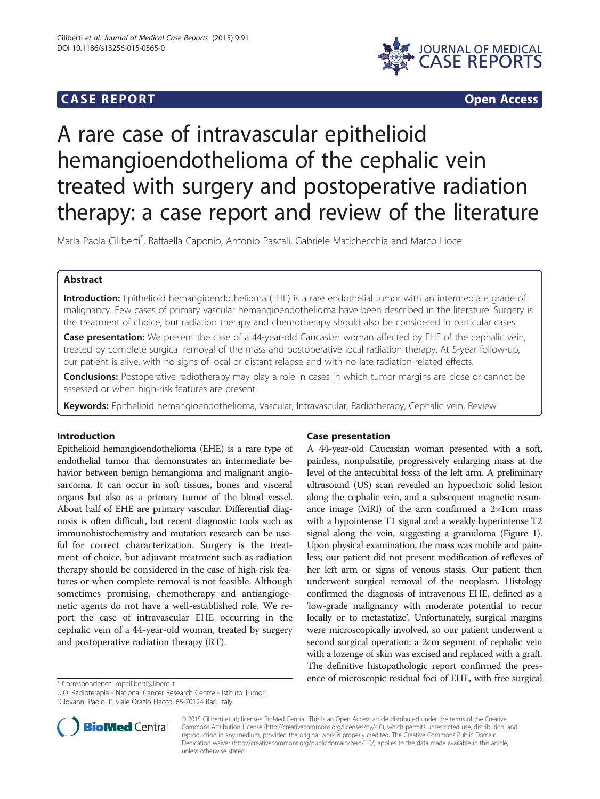## **CASE REPORT CASE REPORT**



# A rare case of intravascular epithelioid hemangioendothelioma of the cephalic vein treated with surgery and postoperative radiation therapy: a case report and review of the literature

Maria Paola Ciliberti\* , Raffaella Caponio, Antonio Pascali, Gabriele Matichecchia and Marco Lioce

## Abstract

Introduction: Epithelioid hemangioendothelioma (EHE) is a rare endothelial tumor with an intermediate grade of malignancy. Few cases of primary vascular hemangioendothelioma have been described in the literature. Surgery is the treatment of choice, but radiation therapy and chemotherapy should also be considered in particular cases.

Case presentation: We present the case of a 44-year-old Caucasian woman affected by EHE of the cephalic vein, treated by complete surgical removal of the mass and postoperative local radiation therapy. At 5-year follow-up, our patient is alive, with no signs of local or distant relapse and with no late radiation-related effects.

**Conclusions:** Postoperative radiotherapy may play a role in cases in which tumor margins are close or cannot be assessed or when high-risk features are present.

Keywords: Epithelioid hemangioendothelioma, Vascular, Intravascular, Radiotherapy, Cephalic vein, Review

## Introduction

Epithelioid hemangioendothelioma (EHE) is a rare type of endothelial tumor that demonstrates an intermediate behavior between benign hemangioma and malignant angiosarcoma. It can occur in soft tissues, bones and visceral organs but also as a primary tumor of the blood vessel. About half of EHE are primary vascular. Differential diagnosis is often difficult, but recent diagnostic tools such as immunohistochemistry and mutation research can be useful for correct characterization. Surgery is the treatment of choice, but adjuvant treatment such as radiation therapy should be considered in the case of high-risk features or when complete removal is not feasible. Although sometimes promising, chemotherapy and antiangiogenetic agents do not have a well-established role. We report the case of intravascular EHE occurring in the cephalic vein of a 44-year-old woman, treated by surgery and postoperative radiation therapy (RT).



A 44-year-old Caucasian woman presented with a soft, painless, nonpulsatile, progressively enlarging mass at the level of the antecubital fossa of the left arm. A preliminary ultrasound (US) scan revealed an hypoechoic solid lesion along the cephalic vein, and a subsequent magnetic resonance image (MRI) of the arm confirmed a 2×1cm mass with a hypointense T1 signal and a weakly hyperintense T2 signal along the vein, suggesting a granuloma (Figure [1](#page-1-0)). Upon physical examination, the mass was mobile and painless; our patient did not present modification of reflexes of her left arm or signs of venous stasis. Our patient then underwent surgical removal of the neoplasm. Histology confirmed the diagnosis of intravenous EHE, defined as a 'low-grade malignancy with moderate potential to recur locally or to metastatize'. Unfortunately, surgical margins were microscopically involved, so our patient underwent a second surgical operation: a 2cm segment of cephalic vein with a lozenge of skin was excised and replaced with a graft. The definitive histopathologic report confirmed the pres\* Correspondence: [mpciliberti@libero.it](mailto:mpciliberti@libero.it) ence of microscopic residual foci of EHE, with free surgical



© 2015 Ciliberti et al.; licensee BioMed Central. This is an Open Access article distributed under the terms of the Creative Commons Attribution License [\(http://creativecommons.org/licenses/by/4.0\)](http://creativecommons.org/licenses/by/4.0), which permits unrestricted use, distribution, and reproduction in any medium, provided the original work is properly credited. The Creative Commons Public Domain Dedication waiver [\(http://creativecommons.org/publicdomain/zero/1.0/](http://creativecommons.org/publicdomain/zero/1.0/)) applies to the data made available in this article, unless otherwise stated.

U.O. Radioterapia - National Cancer Research Centre - Istituto Tumori "Giovanni Paolo II", viale Orazio Flacco, 65-70124 Bari, Italy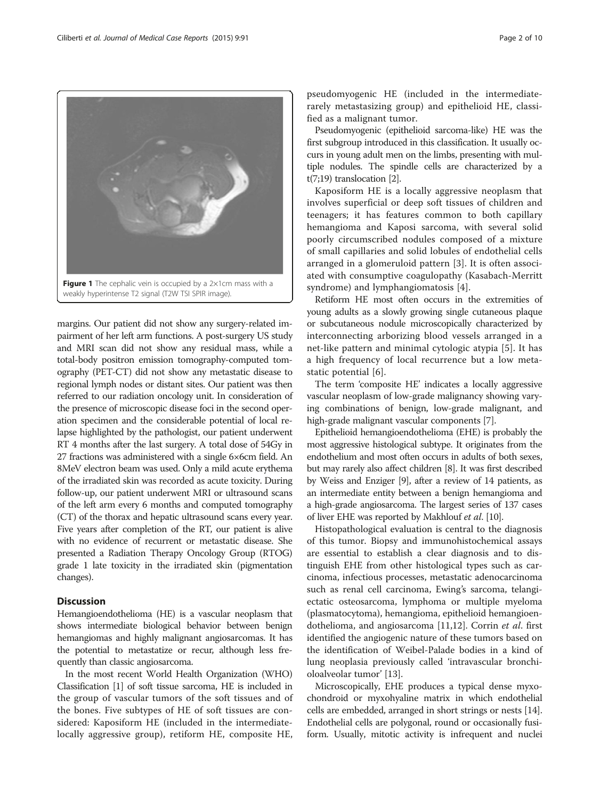<span id="page-1-0"></span>

margins. Our patient did not show any surgery-related impairment of her left arm functions. A post-surgery US study and MRI scan did not show any residual mass, while a total-body positron emission tomography-computed tomography (PET-CT) did not show any metastatic disease to regional lymph nodes or distant sites. Our patient was then referred to our radiation oncology unit. In consideration of the presence of microscopic disease foci in the second operation specimen and the considerable potential of local relapse highlighted by the pathologist, our patient underwent RT 4 months after the last surgery. A total dose of 54Gy in 27 fractions was administered with a single 6×6cm field. An 8MeV electron beam was used. Only a mild acute erythema of the irradiated skin was recorded as acute toxicity. During follow-up, our patient underwent MRI or ultrasound scans of the left arm every 6 months and computed tomography (CT) of the thorax and hepatic ultrasound scans every year. Five years after completion of the RT, our patient is alive with no evidence of recurrent or metastatic disease. She presented a Radiation Therapy Oncology Group (RTOG) grade 1 late toxicity in the irradiated skin (pigmentation changes).

## **Discussion**

Hemangioendothelioma (HE) is a vascular neoplasm that shows intermediate biological behavior between benign hemangiomas and highly malignant angiosarcomas. It has the potential to metastatize or recur, although less frequently than classic angiosarcoma.

In the most recent World Health Organization (WHO) Classification [\[1\]](#page-6-0) of soft tissue sarcoma, HE is included in the group of vascular tumors of the soft tissues and of the bones. Five subtypes of HE of soft tissues are considered: Kaposiform HE (included in the intermediatelocally aggressive group), retiform HE, composite HE,

pseudomyogenic HE (included in the intermediaterarely metastasizing group) and epithelioid HE, classified as a malignant tumor.

Pseudomyogenic (epithelioid sarcoma-like) HE was the first subgroup introduced in this classification. It usually occurs in young adult men on the limbs, presenting with multiple nodules. The spindle cells are characterized by a t(7;19) translocation [[2](#page-6-0)].

Kaposiform HE is a locally aggressive neoplasm that involves superficial or deep soft tissues of children and teenagers; it has features common to both capillary hemangioma and Kaposi sarcoma, with several solid poorly circumscribed nodules composed of a mixture of small capillaries and solid lobules of endothelial cells arranged in a glomeruloid pattern [[3](#page-6-0)]. It is often associated with consumptive coagulopathy (Kasabach-Merritt syndrome) and lymphangiomatosis [[4\]](#page-6-0).

Retiform HE most often occurs in the extremities of young adults as a slowly growing single cutaneous plaque or subcutaneous nodule microscopically characterized by interconnecting arborizing blood vessels arranged in a net-like pattern and minimal cytologic atypia [\[5](#page-6-0)]. It has a high frequency of local recurrence but a low metastatic potential [[6\]](#page-6-0).

The term 'composite HE' indicates a locally aggressive vascular neoplasm of low-grade malignancy showing varying combinations of benign, low-grade malignant, and high-grade malignant vascular components [[7\]](#page-6-0).

Epithelioid hemangioendothelioma (EHE) is probably the most aggressive histological subtype. It originates from the endothelium and most often occurs in adults of both sexes, but may rarely also affect children [\[8](#page-6-0)]. It was first described by Weiss and Enziger [\[9](#page-6-0)], after a review of 14 patients, as an intermediate entity between a benign hemangioma and a high-grade angiosarcoma. The largest series of 137 cases of liver EHE was reported by Makhlouf et al. [[10\]](#page-6-0).

Histopathological evaluation is central to the diagnosis of this tumor. Biopsy and immunohistochemical assays are essential to establish a clear diagnosis and to distinguish EHE from other histological types such as carcinoma, infectious processes, metastatic adenocarcinoma such as renal cell carcinoma, Ewing's sarcoma, telangiectatic osteosarcoma, lymphoma or multiple myeloma (plasmatocytoma), hemangioma, epithelioid hemangioendothelioma, and angiosarcoma [\[11,12](#page-6-0)]. Corrin et al. first identified the angiogenic nature of these tumors based on the identification of Weibel-Palade bodies in a kind of lung neoplasia previously called 'intravascular bronchioloalveolar tumor' [[13\]](#page-6-0).

Microscopically, EHE produces a typical dense myxochondroid or myxohyaline matrix in which endothelial cells are embedded, arranged in short strings or nests [[14](#page-6-0)]. Endothelial cells are polygonal, round or occasionally fusiform. Usually, mitotic activity is infrequent and nuclei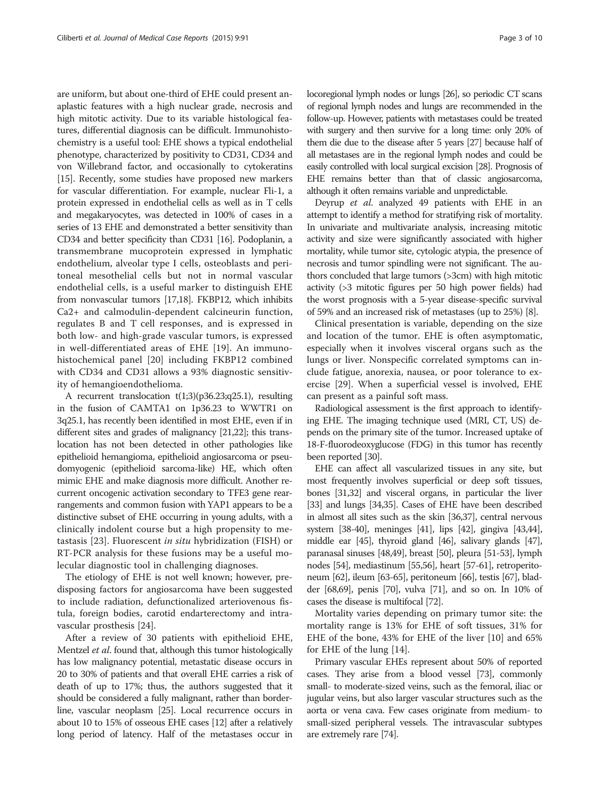are uniform, but about one-third of EHE could present anaplastic features with a high nuclear grade, necrosis and high mitotic activity. Due to its variable histological features, differential diagnosis can be difficult. Immunohistochemistry is a useful tool: EHE shows a typical endothelial phenotype, characterized by positivity to CD31, CD34 and von Willebrand factor, and occasionally to cytokeratins [[15](#page-6-0)]. Recently, some studies have proposed new markers for vascular differentiation. For example, nuclear Fli-1, a protein expressed in endothelial cells as well as in T cells and megakaryocytes, was detected in 100% of cases in a series of 13 EHE and demonstrated a better sensitivity than CD34 and better specificity than CD31 [\[16\]](#page-6-0). Podoplanin, a transmembrane mucoprotein expressed in lymphatic endothelium, alveolar type I cells, osteoblasts and peritoneal mesothelial cells but not in normal vascular endothelial cells, is a useful marker to distinguish EHE from nonvascular tumors [\[17,18\]](#page-6-0). FKBP12, which inhibits Ca2+ and calmodulin-dependent calcineurin function, regulates B and T cell responses, and is expressed in both low- and high-grade vascular tumors, is expressed in well-differentiated areas of EHE [[19\]](#page-6-0). An immunohistochemical panel [\[20](#page-6-0)] including FKBP12 combined with CD34 and CD31 allows a 93% diagnostic sensitivity of hemangioendothelioma.

A recurrent translocation  $t(1;3)(p36.23;q25.1)$ , resulting in the fusion of CAMTA1 on 1p36.23 to WWTR1 on 3q25.1, has recently been identified in most EHE, even if in different sites and grades of malignancy [\[21,22\]](#page-6-0); this translocation has not been detected in other pathologies like epithelioid hemangioma, epithelioid angiosarcoma or pseudomyogenic (epithelioid sarcoma-like) HE, which often mimic EHE and make diagnosis more difficult. Another recurrent oncogenic activation secondary to TFE3 gene rearrangements and common fusion with YAP1 appears to be a distinctive subset of EHE occurring in young adults, with a clinically indolent course but a high propensity to metastasis [[23](#page-6-0)]. Fluorescent in situ hybridization (FISH) or RT-PCR analysis for these fusions may be a useful molecular diagnostic tool in challenging diagnoses.

The etiology of EHE is not well known; however, predisposing factors for angiosarcoma have been suggested to include radiation, defunctionalized arteriovenous fistula, foreign bodies, carotid endarterectomy and intravascular prosthesis [[24](#page-6-0)].

After a review of 30 patients with epithelioid EHE, Mentzel et al. found that, although this tumor histologically has low malignancy potential, metastatic disease occurs in 20 to 30% of patients and that overall EHE carries a risk of death of up to 17%; thus, the authors suggested that it should be considered a fully malignant, rather than borderline, vascular neoplasm [\[25](#page-6-0)]. Local recurrence occurs in about 10 to 15% of osseous EHE cases [\[12\]](#page-6-0) after a relatively long period of latency. Half of the metastases occur in locoregional lymph nodes or lungs [\[26](#page-6-0)], so periodic CT scans of regional lymph nodes and lungs are recommended in the follow-up. However, patients with metastases could be treated with surgery and then survive for a long time: only 20% of them die due to the disease after 5 years [\[27](#page-6-0)] because half of all metastases are in the regional lymph nodes and could be easily controlled with local surgical excision [\[28](#page-6-0)]. Prognosis of EHE remains better than that of classic angiosarcoma, although it often remains variable and unpredictable.

Deyrup et al. analyzed 49 patients with EHE in an attempt to identify a method for stratifying risk of mortality. In univariate and multivariate analysis, increasing mitotic activity and size were significantly associated with higher mortality, while tumor site, cytologic atypia, the presence of necrosis and tumor spindling were not significant. The authors concluded that large tumors (>3cm) with high mitotic activity (>3 mitotic figures per 50 high power fields) had the worst prognosis with a 5-year disease-specific survival of 59% and an increased risk of metastases (up to 25%) [[8](#page-6-0)].

Clinical presentation is variable, depending on the size and location of the tumor. EHE is often asymptomatic, especially when it involves visceral organs such as the lungs or liver. Nonspecific correlated symptoms can include fatigue, anorexia, nausea, or poor tolerance to exercise [[29](#page-6-0)]. When a superficial vessel is involved, EHE can present as a painful soft mass.

Radiological assessment is the first approach to identifying EHE. The imaging technique used (MRI, CT, US) depends on the primary site of the tumor. Increased uptake of 18-F-fluorodeoxyglucose (FDG) in this tumor has recently been reported [\[30](#page-6-0)].

EHE can affect all vascularized tissues in any site, but most frequently involves superficial or deep soft tissues, bones [\[31,32](#page-6-0)] and visceral organs, in particular the liver [[33](#page-6-0)] and lungs [\[34,](#page-6-0)[35](#page-7-0)]. Cases of EHE have been described in almost all sites such as the skin [\[36,37\]](#page-7-0), central nervous system [\[38-40\]](#page-7-0), meninges [\[41](#page-7-0)], lips [[42](#page-7-0)], gingiva [[43,44](#page-7-0)], middle ear [\[45\]](#page-7-0), thyroid gland [\[46\]](#page-7-0), salivary glands [\[47](#page-7-0)], paranasal sinuses [\[48,49\]](#page-7-0), breast [\[50](#page-7-0)], pleura [[51-53\]](#page-7-0), lymph nodes [[54](#page-7-0)], mediastinum [\[55,56](#page-7-0)], heart [\[57](#page-7-0)-[61](#page-7-0)], retroperitoneum [\[62](#page-7-0)], ileum [[63](#page-7-0)-[65](#page-7-0)], peritoneum [\[66](#page-7-0)], testis [\[67\]](#page-7-0), bladder [\[68,69\]](#page-7-0), penis [\[70\]](#page-7-0), vulva [\[71](#page-7-0)], and so on. In 10% of cases the disease is multifocal [[72](#page-7-0)].

Mortality varies depending on primary tumor site: the mortality range is 13% for EHE of soft tissues, 31% for EHE of the bone, 43% for EHE of the liver [\[10](#page-6-0)] and 65% for EHE of the lung [[14\]](#page-6-0).

Primary vascular EHEs represent about 50% of reported cases. They arise from a blood vessel [\[73\]](#page-7-0), commonly small- to moderate-sized veins, such as the femoral, iliac or jugular veins, but also larger vascular structures such as the aorta or vena cava. Few cases originate from medium- to small-sized peripheral vessels. The intravascular subtypes are extremely rare [\[74\]](#page-7-0).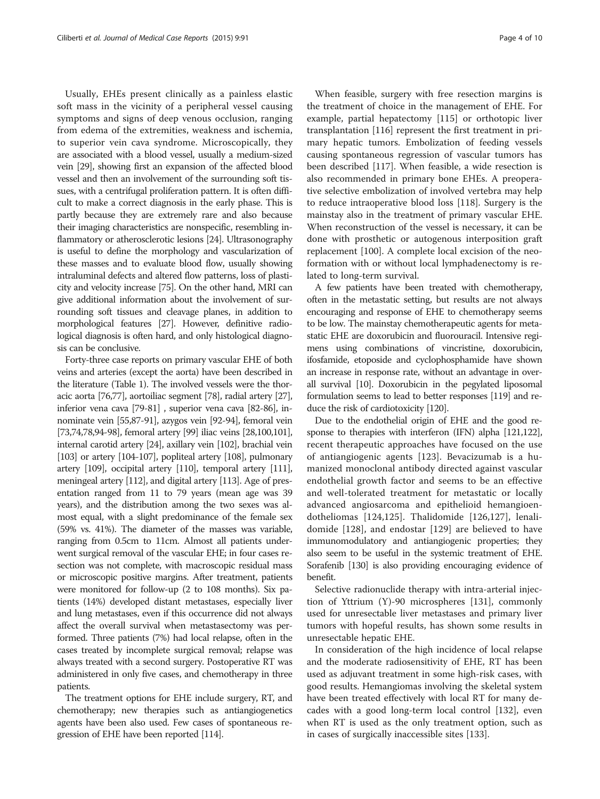Usually, EHEs present clinically as a painless elastic soft mass in the vicinity of a peripheral vessel causing symptoms and signs of deep venous occlusion, ranging from edema of the extremities, weakness and ischemia, to superior vein cava syndrome. Microscopically, they are associated with a blood vessel, usually a medium-sized vein [\[29\]](#page-6-0), showing first an expansion of the affected blood vessel and then an involvement of the surrounding soft tissues, with a centrifugal proliferation pattern. It is often difficult to make a correct diagnosis in the early phase. This is partly because they are extremely rare and also because their imaging characteristics are nonspecific, resembling inflammatory or atherosclerotic lesions [[24](#page-6-0)]. Ultrasonography is useful to define the morphology and vascularization of these masses and to evaluate blood flow, usually showing intraluminal defects and altered flow patterns, loss of plasticity and velocity increase [\[75\]](#page-7-0). On the other hand, MRI can give additional information about the involvement of surrounding soft tissues and cleavage planes, in addition to morphological features [\[27\]](#page-6-0). However, definitive radiological diagnosis is often hard, and only histological diagnosis can be conclusive.

Forty-three case reports on primary vascular EHE of both veins and arteries (except the aorta) have been described in the literature (Table [1](#page-4-0)). The involved vessels were the thoracic aorta [\[76,77\]](#page-7-0), aortoiliac segment [\[78](#page-7-0)], radial artery [\[27](#page-6-0)], inferior vena cava [\[79](#page-7-0)-[81](#page-7-0)] , superior vena cava [[82](#page-7-0)-[86\]](#page-7-0), innominate vein [\[55,87](#page-7-0)[-91\]](#page-8-0), azygos vein [\[92-94](#page-8-0)], femoral vein [[73,74,78,](#page-7-0)[94](#page-8-0)-[98](#page-8-0)], femoral artery [[99](#page-8-0)] iliac veins [[28](#page-6-0)[,100,101](#page-8-0)], internal carotid artery [\[24\]](#page-6-0), axillary vein [\[102\]](#page-8-0), brachial vein [[103\]](#page-8-0) or artery [\[104-107\]](#page-8-0), popliteal artery [[108\]](#page-8-0), pulmonary artery [\[109](#page-8-0)], occipital artery [[110\]](#page-8-0), temporal artery [\[111](#page-8-0)], meningeal artery [[112\]](#page-8-0), and digital artery [[113\]](#page-8-0). Age of presentation ranged from 11 to 79 years (mean age was 39 years), and the distribution among the two sexes was almost equal, with a slight predominance of the female sex (59% vs. 41%). The diameter of the masses was variable, ranging from 0.5cm to 11cm. Almost all patients underwent surgical removal of the vascular EHE; in four cases resection was not complete, with macroscopic residual mass or microscopic positive margins. After treatment, patients were monitored for follow-up (2 to 108 months). Six patients (14%) developed distant metastases, especially liver and lung metastases, even if this occurrence did not always affect the overall survival when metastasectomy was performed. Three patients (7%) had local relapse, often in the cases treated by incomplete surgical removal; relapse was always treated with a second surgery. Postoperative RT was administered in only five cases, and chemotherapy in three patients.

The treatment options for EHE include surgery, RT, and chemotherapy; new therapies such as antiangiogenetics agents have been also used. Few cases of spontaneous regression of EHE have been reported [[114\]](#page-8-0).

When feasible, surgery with free resection margins is the treatment of choice in the management of EHE. For example, partial hepatectomy [[115\]](#page-8-0) or orthotopic liver transplantation [[116](#page-8-0)] represent the first treatment in primary hepatic tumors. Embolization of feeding vessels causing spontaneous regression of vascular tumors has been described [\[117\]](#page-8-0). When feasible, a wide resection is also recommended in primary bone EHEs. A preoperative selective embolization of involved vertebra may help to reduce intraoperative blood loss [\[118\]](#page-8-0). Surgery is the mainstay also in the treatment of primary vascular EHE. When reconstruction of the vessel is necessary, it can be done with prosthetic or autogenous interposition graft replacement [\[100\]](#page-8-0). A complete local excision of the neoformation with or without local lymphadenectomy is related to long-term survival.

A few patients have been treated with chemotherapy, often in the metastatic setting, but results are not always encouraging and response of EHE to chemotherapy seems to be low. The mainstay chemotherapeutic agents for metastatic EHE are doxorubicin and fluorouracil. Intensive regimens using combinations of vincristine, doxorubicin, ifosfamide, etoposide and cyclophosphamide have shown an increase in response rate, without an advantage in overall survival [\[10\]](#page-6-0). Doxorubicin in the pegylated liposomal formulation seems to lead to better responses [\[119](#page-8-0)] and reduce the risk of cardiotoxicity [\[120\]](#page-8-0).

Due to the endothelial origin of EHE and the good response to therapies with interferon (IFN) alpha [\[121,122](#page-8-0)], recent therapeutic approaches have focused on the use of antiangiogenic agents [\[123](#page-8-0)]. Bevacizumab is a humanized monoclonal antibody directed against vascular endothelial growth factor and seems to be an effective and well-tolerated treatment for metastatic or locally advanced angiosarcoma and epithelioid hemangioendotheliomas [\[124](#page-8-0),[125\]](#page-8-0). Thalidomide [\[126](#page-8-0),[127\]](#page-8-0), lenalidomide [\[128](#page-8-0)], and endostar [\[129](#page-8-0)] are believed to have immunomodulatory and antiangiogenic properties; they also seem to be useful in the systemic treatment of EHE. Sorafenib [[130\]](#page-8-0) is also providing encouraging evidence of benefit.

Selective radionuclide therapy with intra-arterial injection of Yttrium (Y)-90 microspheres [\[131\]](#page-8-0), commonly used for unresectable liver metastases and primary liver tumors with hopeful results, has shown some results in unresectable hepatic EHE.

In consideration of the high incidence of local relapse and the moderate radiosensitivity of EHE, RT has been used as adjuvant treatment in some high-risk cases, with good results. Hemangiomas involving the skeletal system have been treated effectively with local RT for many decades with a good long-term local control [[132\]](#page-8-0), even when RT is used as the only treatment option, such as in cases of surgically inaccessible sites [\[133\]](#page-8-0).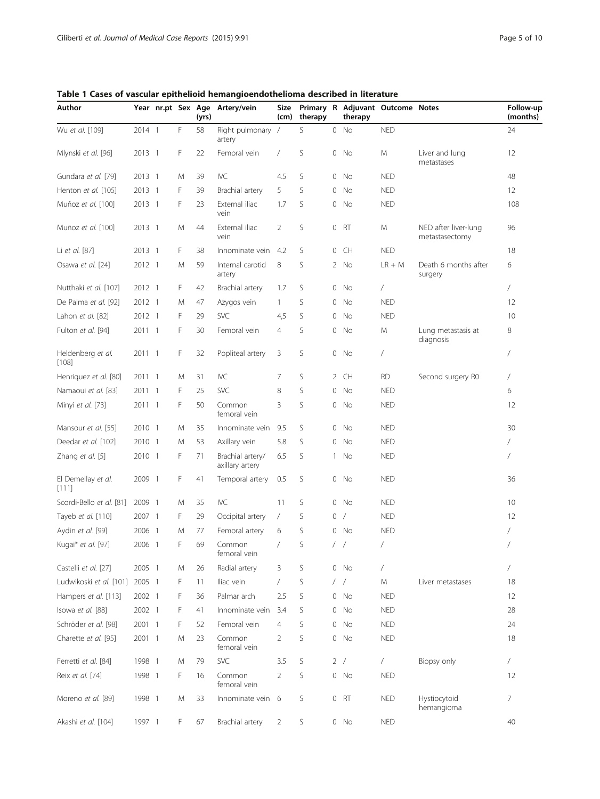| Author                         |        | Year nr.pt Sex Age       |   | (yrs) | Artery/vein                         | Size<br>(cm)   | therapy |            | therapy  | Primary R Adjuvant Outcome Notes |                                        | Follow-up<br>(months) |
|--------------------------------|--------|--------------------------|---|-------|-------------------------------------|----------------|---------|------------|----------|----------------------------------|----------------------------------------|-----------------------|
| Wu et al. [109]                | 2014 1 |                          | F | 58    | Right pulmonary /<br>artery         |                | S       |            | $0$ No   | <b>NED</b>                       |                                        | 24                    |
| Mlynski et al. [96]            | 2013 1 |                          | F | 22    | Femoral vein                        | $\sqrt{2}$     | S       |            | $0$ No   | M                                | Liver and lung<br>metastases           | 12                    |
| Gundara et al. [79]            | 2013 1 |                          | M | 39    | <b>IVC</b>                          | 4.5            | S       | $\circ$    | No       | <b>NED</b>                       |                                        | 48                    |
| Henton et al. [105]            | 2013 1 |                          | F | 39    | Brachial artery                     | 5              | S       |            | $0$ No   | <b>NED</b>                       |                                        | 12                    |
| Muñoz et al. [100]             | 2013 1 |                          | F | 23    | External iliac<br>vein              | 1.7            | S       |            | $0$ No   | <b>NED</b>                       |                                        | 108                   |
| Muñoz et al. [100]             | 2013 1 |                          | Μ | 44    | External iliac<br>vein              | $\overline{2}$ | S       |            | 0 RT     | M                                | NED after liver-lung<br>metastasectomy | 96                    |
| Li et al. [87]                 | 2013 1 |                          | F | 38    | Innominate vein                     | 4.2            | S       |            | $0$ CH   | <b>NED</b>                       |                                        | 18                    |
| Osawa et al. [24]              | 2012 1 |                          | M | 59    | Internal carotid<br>artery          | 8              | S       |            | 2 No     | $LR + M$                         | Death 6 months after<br>surgery        | 6                     |
| Nutthaki et al. [107]          | 2012 1 |                          | F | 42    | Brachial artery                     | 1.7            | S       |            | $0$ No   | /                                |                                        | $\sqrt{2}$            |
| De Palma et al. [92]           | 2012 1 |                          | M | 47    | Azygos vein                         | $\mathbf{1}$   | S       | 0          | No       | <b>NED</b>                       |                                        | 12                    |
| Lahon et al. [82]              | 2012 1 |                          | F | 29    | SVC                                 | 4,5            | S       | 0          | No       | <b>NED</b>                       |                                        | 10                    |
| Fulton et al. [94]             | 2011 1 |                          | F | 30    | Femoral vein                        | $\overline{4}$ | S       |            | $0$ No   | M                                | Lung metastasis at<br>diagnosis        | 8                     |
| Heldenberg et al.<br>$[108]$   | 2011 1 |                          | F | 32    | Popliteal artery                    | 3              | S       |            | $0$ No   | /                                |                                        | $\overline{1}$        |
| Henriquez et al. [80]          | 2011 1 |                          | M | 31    | IVC                                 | 7              | S       |            | 2 CH     | <b>RD</b>                        | Second surgery R0                      | $\sqrt{2}$            |
| Namaoui et al. [83]            | 2011 1 |                          | F | 25    | SVC                                 | 8              | S       |            | $0$ No   | <b>NED</b>                       |                                        | 6                     |
| Minyi et al. [73]              | 2011 1 |                          | F | 50    | Common<br>femoral vein              | 3              | S       | 0          | No       | <b>NED</b>                       |                                        | 12                    |
| Mansour et al. [55]            | 2010 1 |                          | M | 35    | Innominate vein                     | 9.5            | S       |            | 0 No     | <b>NED</b>                       |                                        | 30                    |
| Deedar et al. [102]            | 2010 1 |                          | M | 53    | Axillary vein                       | 5.8            | S       | 0          | No       | <b>NED</b>                       |                                        | 7                     |
| Zhang et al. [5]               | 2010 1 |                          | F | 71    | Brachial artery/<br>axillary artery | 6.5            | S       |            | 1 No     | <b>NED</b>                       |                                        | $\overline{1}$        |
| El Demellay et al.<br>[111]    | 2009 1 |                          | F | 41    | Temporal artery                     | 0.5            | S       |            | 0 No     | <b>NED</b>                       |                                        | 36                    |
| Scordi-Bello et al. [81]       | 2009   | $\overline{\phantom{0}}$ | M | 35    | <b>IVC</b>                          | 11             | S       |            | $0$ No   | <b>NED</b>                       |                                        | 10                    |
| Tayeb et al. [110]             | 2007 1 |                          | F | 29    | Occipital artery                    | $\sqrt{2}$     | S       | 0          | $\prime$ | <b>NED</b>                       |                                        | 12                    |
| Aydin et al. [99]              | 2006 1 |                          | M | 77    | Femoral artery                      | 6              | S       |            | 0 No     | <b>NED</b>                       |                                        | 7                     |
| Kugai* et al. [97]             | 2006 1 |                          | F | 69    | Common<br>femoral vein              | $\sqrt{2}$     | S       | $\sqrt{2}$ | $\prime$ | /                                |                                        | $\sqrt{2}$            |
| Castelli et al. [27]           | 2005 1 |                          | M | 26    | Radial artery                       | 3              | S       |            | $0$ No   | 7                                |                                        | $\sqrt{2}$            |
| Ludwikoski et al. [101] 2005 1 |        |                          | F | 11    | Iliac vein                          | $\sqrt{2}$     | S       |            | $/$ $/$  | Μ                                | Liver metastases                       | 18                    |
| Hampers et al. [113]           | 2002 1 |                          | F | 36    | Palmar arch                         | 2.5            | S       |            | $0$ No   | <b>NED</b>                       |                                        | 12                    |
| Isowa et al. [88]              | 2002 1 |                          | F | 41    | Innominate vein                     | 3.4            | S       | 0          | No       | <b>NED</b>                       |                                        | 28                    |
| Schröder et al. [98]           | 2001 1 |                          | F | 52    | Femoral vein                        | 4              | S       |            | $0$ No   | <b>NED</b>                       |                                        | 24                    |
| Charette et al. [95]           | 2001 1 |                          | M | 23    | Common<br>femoral vein              | $\overline{2}$ | S       |            | $0$ No   | <b>NED</b>                       |                                        | 18                    |
| Ferretti et al. [84]           | 1998 1 |                          | M | 79    | SVC                                 | 3.5            | S       |            | 2 /      | $\sqrt{2}$                       | Biopsy only                            | $\sqrt{2}$            |
| Reix et al. [74]               | 1998 1 |                          | F | 16    | Common<br>femoral vein              | 2              | S       |            | $0$ No   | <b>NED</b>                       |                                        | 12                    |
| Moreno et al. [89]             | 1998 1 |                          | Μ | 33    | Innominate vein 6                   |                | S       |            | 0 RT     | <b>NED</b>                       | Hystiocytoid<br>hemangioma             | 7                     |
| Akashi et al. [104]            | 1997 1 |                          | F | 67    | Brachial artery                     | $\overline{2}$ | S       |            | $0$ No   | <b>NED</b>                       |                                        | 40                    |

<span id="page-4-0"></span>Table 1 Cases of vascular epithelioid hemangioendothelioma described in literature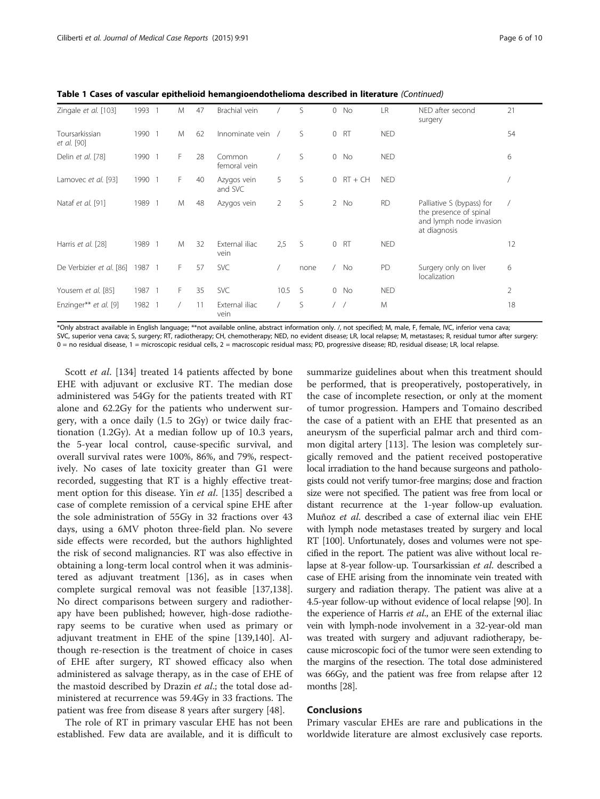| Zingale et al. [103]          | 1993   | M  | 47 | Brachial vein          |            | S.   | $0$ No      | <b>LR</b>  | NED after second<br>surgery                                                                    | 21 |
|-------------------------------|--------|----|----|------------------------|------------|------|-------------|------------|------------------------------------------------------------------------------------------------|----|
| Toursarkissian<br>et al. [90] | 1990 1 | M  | 62 | Innominate vein        |            | S    | 0 RT        | <b>NED</b> |                                                                                                | 54 |
| Delin et al. [78]             | 1990 1 | F  | 28 | Common<br>femoral vein |            | S    | $0$ No      | <b>NED</b> |                                                                                                | 6  |
| Lamovec et al. [93]           | 1990   | F  | 40 | Azygos vein<br>and SVC | 5          | S.   | $0 RT + CH$ | <b>NED</b> |                                                                                                |    |
| Nataf et al. [91]             | 1989 1 | M  | 48 | Azygos vein            | 2          | S    | 2 No        | <b>RD</b>  | Palliative S (bypass) for<br>the presence of spinal<br>and lymph node invasion<br>at diagnosis |    |
| Harris et al. [28]            | 1989 1 | M  | 32 | External iliac<br>vein | 2,5        | S    | 0 RT        | <b>NED</b> |                                                                                                | 12 |
| De Verbizier et al. [86]      | 1987 1 | F. | 57 | <b>SVC</b>             |            | none | $/$ No      | PD         | Surgery only on liver<br>localization                                                          | 6  |
| Yousem et al. [85]            | 1987 1 | F. | 35 | <b>SVC</b>             | 10.5       | -S   | $0$ No      | <b>NED</b> |                                                                                                | 2  |
| Enzinger** et al. [9]         | 1982   |    | 11 | External iliac<br>vein | $\sqrt{2}$ | S.   |             | M          |                                                                                                | 18 |

Table 1 Cases of vascular epithelioid hemangioendothelioma described in literature (Continued)

\*Only abstract available in English language; \*\*not available online, abstract information only. /, not specified; M, male, F, female, IVC, inferior vena cava; SVC, superior vena cava; S, surgery; RT, radiotherapy; CH, chemotherapy; NED, no evident disease; LR, local relapse; M, metastases; R, residual tumor after surgery:  $0 =$  no residual disease,  $1 =$  microscopic residual cells,  $2 =$  macroscopic residual mass; PD, progressive disease; RD, residual disease; LR, local relapse.

Scott *et al.* [[134\]](#page-8-0) treated 14 patients affected by bone EHE with adjuvant or exclusive RT. The median dose administered was 54Gy for the patients treated with RT alone and 62.2Gy for the patients who underwent surgery, with a once daily (1.5 to 2Gy) or twice daily fractionation (1.2Gy). At a median follow up of 10.3 years, the 5-year local control, cause-specific survival, and overall survival rates were 100%, 86%, and 79%, respectively. No cases of late toxicity greater than G1 were recorded, suggesting that RT is a highly effective treat-ment option for this disease. Yin et al. [[135\]](#page-8-0) described a case of complete remission of a cervical spine EHE after the sole administration of 55Gy in 32 fractions over 43 days, using a 6MV photon three-field plan. No severe side effects were recorded, but the authors highlighted the risk of second malignancies. RT was also effective in obtaining a long-term local control when it was administered as adjuvant treatment [[136](#page-8-0)], as in cases when complete surgical removal was not feasible [[137,138](#page-9-0)]. No direct comparisons between surgery and radiotherapy have been published; however, high-dose radiotherapy seems to be curative when used as primary or adjuvant treatment in EHE of the spine [[139,140\]](#page-9-0). Although re-resection is the treatment of choice in cases of EHE after surgery, RT showed efficacy also when administered as salvage therapy, as in the case of EHE of the mastoid described by Drazin *et al.*; the total dose administered at recurrence was 59.4Gy in 33 fractions. The patient was free from disease 8 years after surgery [[48](#page-7-0)].

The role of RT in primary vascular EHE has not been established. Few data are available, and it is difficult to summarize guidelines about when this treatment should be performed, that is preoperatively, postoperatively, in the case of incomplete resection, or only at the moment of tumor progression. Hampers and Tomaino described the case of a patient with an EHE that presented as an aneurysm of the superficial palmar arch and third common digital artery [[113](#page-8-0)]. The lesion was completely surgically removed and the patient received postoperative local irradiation to the hand because surgeons and pathologists could not verify tumor-free margins; dose and fraction size were not specified. The patient was free from local or distant recurrence at the 1-year follow-up evaluation. Muñoz et al. described a case of external iliac vein EHE with lymph node metastases treated by surgery and local RT [\[100](#page-8-0)]. Unfortunately, doses and volumes were not specified in the report. The patient was alive without local relapse at 8-year follow-up. Toursarkissian et al. described a case of EHE arising from the innominate vein treated with surgery and radiation therapy. The patient was alive at a 4.5-year follow-up without evidence of local relapse [[90](#page-8-0)]. In the experience of Harris *et al.*, an EHE of the external iliac vein with lymph-node involvement in a 32-year-old man was treated with surgery and adjuvant radiotherapy, because microscopic foci of the tumor were seen extending to the margins of the resection. The total dose administered was 66Gy, and the patient was free from relapse after 12 months [\[28\]](#page-6-0).

#### Conclusions

Primary vascular EHEs are rare and publications in the worldwide literature are almost exclusively case reports.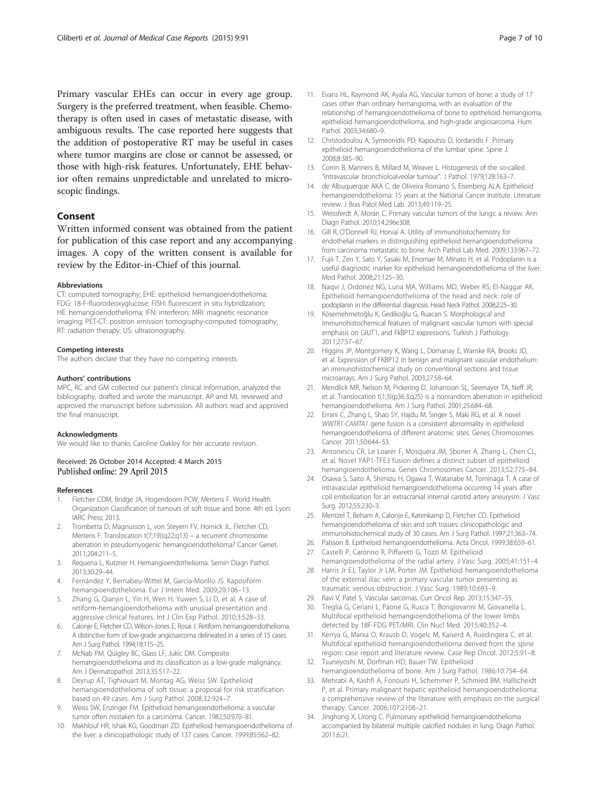<span id="page-6-0"></span>Primary vascular EHEs can occur in every age group. Surgery is the preferred treatment, when feasible. Chemotherapy is often used in cases of metastatic disease, with ambiguous results. The case reported here suggests that the addition of postoperative RT may be useful in cases where tumor margins are close or cannot be assessed, or those with high-risk features. Unfortunately, EHE behavior often remains unpredictable and unrelated to microscopic findings.

## Consent

Written informed consent was obtained from the patient for publication of this case report and any accompanying images. A copy of the written consent is available for review by the Editor-in-Chief of this journal.

#### Abbreviations

CT: computed tomography; EHE: epithelioid hemangioendothelioma; FDG: 18-F-fluorodeoxyglucose; FISH: fluorescent in situ hybridization; HE: hemangioendothelioma; IFN: interferon; MRI: magnetic resonance imaging; PET-CT: positron emission tomography-computed tomography; RT: radiation therapy; US: ultrasonography.

#### Competing interests

The authors declare that they have no competing interests.

#### Authors' contributions

MPC, RC and GM collected our patient's clinical information, analyzed the bibliography, drafted and wrote the manuscript. AP and ML reviewed and approved the manuscript before submission. All authors read and approved the final manuscript.

#### Acknowledgments

We would like to thanks Caroline Oakley for her accurate revision.

#### Received: 26 October 2014 Accepted: 4 March 2015 Published online: 29 April 2015

#### References

- 1. Fletcher CDM, Bridge JA, Hogendoorn PCW, Mertens F. World Health Organization Classification of tumours of soft tissue and bone. 4th ed. Lyon: IARC Press; 2013.
- 2. Trombetta D, Magnusson L, von Steyern FV, Hornick JL, Fletcher CD, Mertens F. Translocation t(7;19)(q22;q13) – a recurrent chromosome aberration in pseudomyogenic hemangioendothelioma? Cancer Genet. 2011;204:211–5.
- 3. Requena L, Kutzner H. Hemangioendothelioma. Semin Diagn Pathol. 2013;30:29–44.
- 4. Fernández Y, Bernabeu-Wittel M, García-Morillo JS. Kaposiform hemangioendothelioma. Eur J Intern Med. 2009;20:106–13.
- 5. Zhang G, Qianjin L, Yin H, Wen H, Yuwen S, Li D, et al. A case of retiform-hemangioendothelioma with unusual presentation and aggressive clinical features. Int J Clin Exp Pathol. 2010;3:528–33.
- 6. Calonje E, Fletcher CD, Wilson-Jones E, Rosai J. Retiform hemangioendothelioma. A distinctive form of low-grade angiosarcoma delineated in a series of 15 cases. Am J Surg Pathol. 1994;18:115–25.
- 7. McNab PM, Quigley BC, Glass LF, Jukic DM. Composite hemangioendothelioma and its classification as a low-grade malignancy. Am J Dermatopathol. 2013;35:517–22.
- 8. Deyrup AT, Tighiouart M, Montag AG, Weiss SW. Epithelioid hemangioendothelioma of soft tissue: a proposal for risk stratification based on 49 cases. Am J Surg Pathol. 2008;32:924–7.
- 9. Weiss SW, Enzinger FM. Epithelioid hemangioendothelioma: a vascular tumor often mistaken for a carcinoma. Cancer. 1982;50:970–81.
- 10. Makhlouf HR, Ishak KG, Goodman ZD. Epithelioid hemangioendothelioma of the liver: a clinicopathologic study of 137 cases. Cancer. 1999;85:562–82.
- 11. Evans HL, Raymond AK, Ayala AG. Vascular tumors of bone: a study of 17 cases other than ordinary hemangioma, with an evaluation of the relationship of hemangioendothelioma of bone to epithelioid hemangioma, epithelioid hemangioendothelioma, and high-grade angiosarcoma. Hum Pathol. 2003;34:680–9.
- 12. Christodoulou A, Symeonidis PD, Kapoutsis D, Iordanidis F. Primary epithelioid hemangioendothelioma of the lumbar spine. Spine J. 2008;8:385–90.
- 13. Corrin B, Manners B, Millard M, Weaver L. Histogenesis of the so-called "intravascular bronchioloalveolar tumour". J Pathol. 1979;128:163–7.
- 14. de Albuquerque AKA C, de Oliveira Romano S, Eisenberg ALA. Epithelioid hemangioendothelioma: 15 years at the National Cancer Institute. Literature review. J Bras Patol Med Lab. 2013;49:119–25.
- 15. Weissferdt A, Moran C. Primary vascular tumors of the lungs: a review. Ann Diagn Pathol. 2010;14:296e308.
- 16. Gill R, O'Donnell RJ, Horvai A. Utility of immunohistochemistry for endothelial markers in distinguishing epithelioid hemangioendothelioma from carcinoma metastatic to bone. Arch Pathol Lab Med. 2009;133:967–72.
- 17. Fujii T, Zen Y, Sato Y, Sasaki M, Enomae M, Minato H, et al. Podoplanin is a useful diagnostic marker for epithelioid hemangioendothelioma of the liver. Mod Pathol. 2008;21:125–30.
- 18. Naqvi J, Ordonez NG, Luna MA, Williams MD, Weber RS, El-Naggar AK. Epithelioid hemangioendothelioma of the head and neck: role of podoplanin in the differential diagnosis. Head Neck Pathol. 2008;2:25–30.
- 19. Kösemehmetoğlu K, Gedikoğlu G, Ruacan S. Morphological and immunohistochemical features of malignant vascular tumors with special emphasis on GlUT1, and FkBP12 expressions. Turkish J Pathology. 2011;27:57–67.
- 20. Higgins JP, Montgomery K, Wang L, Domanay E, Warnke RA, Brooks JD, et al. Expression of FKBP12 in benign and malignant vascular endothelium: an immunohistochemical study on conventional sections and tissue microarrays. Am J Surg Pathol. 2003;27:58–64.
- 21. Mendlick MR, Nelson M, Pickering D, Johansson SL, Seemayer TA, Neff JR, et al. Translocation t(1;3)(p36.3;q25) is a nonrandom aberration in epithelioid hemangioendothelioma. Am J Surg Pathol. 2001;25:684–68.
- 22. Errani C, Zhang L, Shao SY, Hajdu M, Singer S, Maki RG, et al. A novel WWTR1-CAMTA1 gene fusion is a consistent abnormality in epithelioid hemangioendothelioma of different anatomic sites. Genes Chromosomes Cancer. 2011;50:644–53.
- 23. Antonescu CR, Le Loarer F, Mosquera JM, Sboner A, Zhang L, Chen CL, et al. Novel YAP1-TFE3 fusion defines a distinct subset of epithelioid hemangioendothelioma. Genes Chromosomes Cancer. 2013;52:775–84.
- 24. Osawa S, Saito A, Shimizu H, Ogawa T, Watanabe M, Tominaga T. A case of intravascular epithelioid hemangioendothelioma occurring 14 years after coil embolization for an extracranial internal carotid artery aneurysm. J Vasc Surg. 2012;55:230–3.
- 25. Mentzel T, Beham A, Calonje E, Katenkamp D, Fletcher CD. Epithelioid hemangioendothelioma of skin and soft tissues: clinicopathologic and immunohistochemical study of 30 cases. Am J Surg Pathol. 1997;21:363–74.
- 26. Palsson B. Epitheloid hemangioendothelioma. Acta Oncol. 1999;38:659–61.
- 27. Castelli P, Caronno R, Piffaretti G, Tozzi M. Epithelioid hemangioendothelioma of the radial artery. J Vasc Surg. 2005;41:151–4.
- 28. Harris Jr EJ, Taylor Jr LM, Porter JM. Epithelioid hemangioendothelioma of the external iliac vein: a primary vascular tumor presenting as traumatic venous obstruction. J Vasc Surg. 1989;10:693–9.
- 29. Ravi V, Patel S. Vascular sarcomas. Curr Oncol Rep. 2013;15:347–55.
- 30. Treglia G, Ceriani L, Paone G, Rusca T, Bongiovanni M, Giovanella L. Multifocal epithelioid hemangioendothelioma of the lower limbs detected by 18F-FDG PET/MRI. Clin Nucl Med. 2015;40:352–4.
- 31. Kerrya G, Marxa O, Krausb D, Vogelc M, Kaiserd A, Ruedingera C, et al. Multifocal epithelioid hemangioendothelioma derived from the spine region: case report and literature review. Case Rep Oncol. 2012;5:91–8.
- 32. Tsuneyoshi M, Dorfman HD, Bauer TW. Epithelioid hemangioendothelioma of bone. Am J Surg Pathol. 1986;10:754–64.
- 33. Mehrabi A, Kashfi A, Fonouni H, Schemmer P, Schmied BM, Hallscheidt P, et al. Primary malignant hepatic epithelioid hemangioendothelioma: a comprehensive review of the literature with emphasis on the surgical therapy. Cancer. 2006;107:2108–21.
- 34. Jinghong X, Lirong C. Pulmonary epithelioid hemangioendothelioma accompanied by bilateral multiple calcified nodules in lung. Diagn Pathol. 2011;6:21.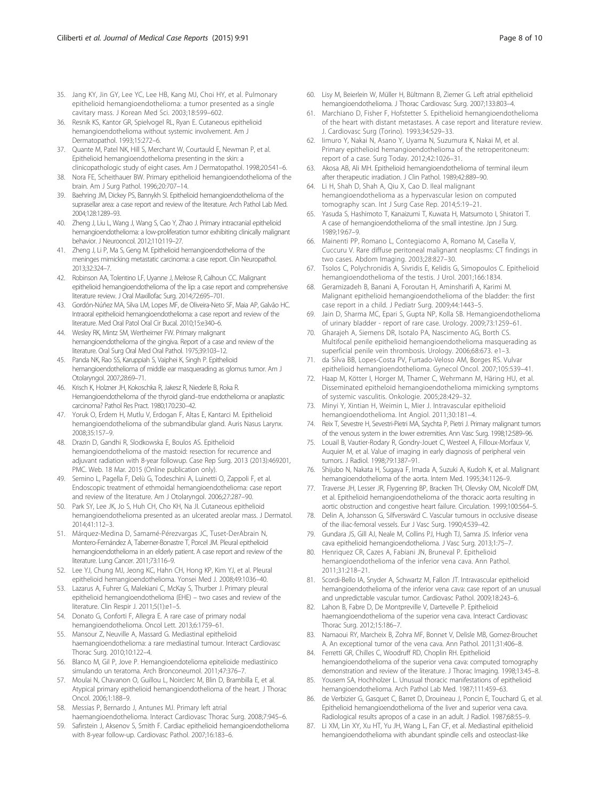- <span id="page-7-0"></span>35. Jang KY, Jin GY, Lee YC, Lee HB, Kang MJ, Choi HY, et al. Pulmonary epithelioid hemangioendothelioma: a tumor presented as a single cavitary mass. J Korean Med Sci. 2003;18:599–602.
- 36. Resnik KS, Kantor GR, Spielvogel RL, Ryan E. Cutaneous epithelioid hemangioendothelioma without systemic involvement. Am J Dermatopathol. 1993;15:272–6.
- 37. Quante M, Patel NK, Hill S, Merchant W, Courtauld E, Newman P, et al. Epithelioid hemangioendothelioma presenting in the skin: a clinicopathologic study of eight cases. Am J Dermatopathol. 1998;20:541–6.
- 38. Nora FE, Scheithauer BW. Primary epithelioid hemangioendothelioma of the brain. Am J Surg Pathol. 1996;20:707–14.
- 39. Baehring JM, Dickey PS, Bannykh SI. Epithelioid hemangioendothelioma of the suprasellar area: a case report and review of the literature. Arch Pathol Lab Med. 2004;128:1289–93.
- 40. Zheng J, Liu L, Wang J, Wang S, Cao Y, Zhao J. Primary intracranial epithelioid hemangioendothelioma: a low-proliferation tumor exhibiting clinically malignant behavior. J Neurooncol. 2012;110:119–27.
- 41. Zheng J, Li P, Ma S, Geng M. Epithelioid hemangioendothelioma of the meninges mimicking metastatic carcinoma: a case report. Clin Neuropathol. 2013;32:324–7.
- 42. Robinson AA, Tolentino LF, Uyanne J, Melrose R, Calhoun CC. Malignant epithelioid hemangioendothelioma of the lip: a case report and comprehensive literature review. J Oral Maxillofac Surg. 2014;72:695–701.
- 43. Gordón-Núñez MA, Silva LM, Lopes MF, de Oliveira-Neto SF, Maia AP, Galvão HC. Intraoral epithelioid hemangioendothelioma: a case report and review of the literature. Med Oral Patol Oral Cir Bucal. 2010;15:e340–6.
- 44. Wesley RK, Mintz SM, Wertheimer FW. Primary malignant hemangioendothelioma of the gingiva. Report of a case and review of the literature. Oral Surg Oral Med Oral Pathol. 1975;39:103–12.
- 45. Panda NK, Rao SS, Karuppiah S, Vaiphei K, Singh P. Epithelioid hemangioendothelioma of middle ear masquerading as glomus tumor. Am J Otolaryngol. 2007;28:69–71.
- 46. Krisch K, Holzner JH, Kokoschka R, Jakesz R, Niederle B, Roka R. Hemangioendothelioma of the thyroid gland–true endothelioma or anaplastic carcinoma? Pathol Res Pract. 1980;170:230–42.
- 47. Yoruk O, Erdem H, Mutlu V, Erdogan F, Altas E, Kantarci M. Epithelioid hemangioendothelioma of the submandibular gland. Auris Nasus Larynx. 2008;35:157–9.
- 48. Drazin D, Gandhi R, Slodkowska E, Boulos AS. Epithelioid hemangioendothelioma of the mastoid: resection for recurrence and adjuvant radiation with 8-year followup. Case Rep Surg. 2013 (2013):469201, PMC. Web. 18 Mar. 2015 (Online publication only).
- 49. Semino L, Pagella F, Delù G, Todeschini A, Luinetti O, Zappoli F, et al. Endoscopic treatment of ethmoidal hemangioendothelioma: case report and review of the literature. Am J Otolaryngol. 2006;27:287–90.
- 50. Park SY, Lee JK, Jo S, Huh CH, Cho KH, Na JI. Cutaneous epithelioid hemangioendothelioma presented as an ulcerated areolar mass. J Dermatol. 2014;41:112–3.
- 51. Márquez-Medina D, Samamé-Pérezvargas JC, Tuset-DerAbrain N, Montero-Fernández A, Taberner-Bonastre T, Porcel JM. Pleural epithelioid hemangioendothelioma in an elderly patient. A case report and review of the literature. Lung Cancer. 2011;73:116–9.
- 52. Lee YJ, Chung MJ, Jeong KC, Hahn CH, Hong KP, Kim YJ, et al. Pleural epithelioid hemangioendothelioma. Yonsei Med J. 2008;49:1036–40.
- 53. Lazarus A, Fuhrer G, Malekiani C, McKay S, Thurber J. Primary pleural epithelioid hemangioendothelioma (EHE) – two cases and review of the literature. Clin Respir J. 2011;5(1):e1–5.
- 54. Donato G, Conforti F, Allegra E. A rare case of primary nodal hemangioendothelioma. Oncol Lett. 2013;6:1759–61.
- 55. Mansour Z, Neuville A, Massard G. Mediastinal epithelioid haemangioendothelioma: a rare mediastinal tumour. Interact Cardiovasc Thorac Surg. 2010;10:122–4.
- 56. Blanco M, Gil P, Jove P. Hemangioendotelioma epitelioide mediastínico simulando un teratoma. Arch Bronconeumol. 2011;47:376–7.
- 57. Moulai N, Chavanon O, Guillou L, Noirclerc M, Blin D, Brambilla E, et al. Atypical primary epithelioid hemangioendothelioma of the heart. J Thorac Oncol. 2006;1:188–9.
- 58. Messias P, Bernardo J, Antunes MJ. Primary left atrial haemangioendothelioma. Interact Cardiovasc Thorac Surg. 2008;7:945–6.
- 59. Safirstein J, Aksenov S, Smith F. Cardiac epithelioid hemangioendothelioma with 8-year follow-up. Cardiovasc Pathol. 2007;16:183–6.
- 60. Lisy M, Beierlein W, Müller H, Bültmann B, Ziemer G. Left atrial epithelioid hemangioendothelioma. J Thorac Cardiovasc Surg. 2007;133:803–4.
- 61. Marchiano D, Fisher F, Hofstetter S. Epithelioid hemangioendothelioma of the heart with distant metastases. A case report and literature review. J. Cardiovasc Surg (Torino). 1993;34:529–33.
- 62. Iimuro Y, Nakai N, Asano Y, Uyama N, Suzumura K, Nakai M, et al. Primary epithelioid hemangioendothelioma of the retroperitoneum: report of a case. Surg Today. 2012;42:1026–31.
- 63. Akosa AB, Ali MH. Epithelioid hemangioendothelioma of terminal ileum after therapeutic irradiation. J Clin Pathol. 1989;42:889–90.
- 64. Li H, Shah D, Shah A, Qiu X, Cao D. Ileal malignant hemangioendothelioma as a hypervascular lesion on computed tomography scan. Int J Surg Case Rep. 2014;5:19–21.
- 65. Yasuda S, Hashimoto T, Kanaizumi T, Kuwata H, Matsumoto I, Shiratori T. A case of hemangioendothelioma of the small intestine. Jpn J Surg. 1989;19:67–9.
- 66. Mainenti PP, Romano L, Contegiacomo A, Romano M, Casella V, Cuccuru V. Rare diffuse peritoneal malignant neoplasms: CT findings in two cases. Abdom Imaging. 2003;28:827–30.
- 67. Tsolos C, Polychronidis A, Sivridis E, Kelidis G, Simopoulos C. Epithelioid hemangioendothelioma of the testis. J Urol. 2001;166:1834.
- 68. Geramizadeh B, Banani A, Foroutan H, Aminsharifi A, Karimi M. Malignant epithelioid hemangioendothelioma of the bladder: the first case report in a child. J Pediatr Surg. 2009;44:1443–5.
- Jain D, Sharma MC, Epari S, Gupta NP, Kolla SB. Hemangioendothelioma of urinary bladder - report of rare case. Urology. 2009;73:1259–61.
- 70. Gharajeh A, Siemens DR, Isotalo PA, Nascimento AG, Borth CS. Multifocal penile epithelioid hemangioendothelioma masquerading as superficial penile vein thrombosis. Urology. 2006;68:673. e1–3.
- 71. da Silva BB, Lopes-Costa PV, Furtado-Veloso AM, Borges RS. Vulvar epithelioid hemangioendothelioma. Gynecol Oncol. 2007;105:539–41.
- 72. Haap M, Kötter I, Horger M, Thamer C, Wehrmann M, Häring HU, et al. Disseminated epitheloid hemangioendothelioma mimicking symptoms of systemic vasculitis. Onkologie. 2005;28:429–32.
- 73. Minyi Y, Xintian H, Weimin L, Mier J. Intravascular epithelioid hemangioendothelioma. Int Angiol. 2011;30:181–4.
- 74. Reix T, Sevestre H, Sevestri-Pietri MA, Szychta P, Pietri J. Primary malignant tumors of the venous system in the lower extremities. Ann Vasc Surg. 1998;12:589–96.
- 75. Louail B, Vautier-Rodary R, Gondry-Jouet C, Westeel A, Filloux-Morfaux V, Auquier M, et al. Value of imaging in early diagnosis of peripheral vein tumors. J Radiol. 1998;79:1387–91.
- 76. Shijubo N, Nakata H, Sugaya F, Imada A, Suzuki A, Kudoh K, et al. Malignant hemangioendothelioma of the aorta. Intern Med. 1995;34:1126–9.
- 77. Traverse JH, Lesser JR, Flygenring BP, Bracken TH, Olevsky OM, Nicoloff DM, et al. Epithelioid hemangioendothelioma of the thoracic aorta resulting in aortic obstruction and congestive heart failure. Circulation. 1999;100:564–5.
- 78. Delin A, Johansson G, Silfverswärd C. Vascular tumours in occlusive disease of the iliac-femoral vessels. Eur J Vasc Surg. 1990;4:539–42.
- 79. Gundara JS, Gill AJ, Neale M, Collins PJ, Hugh TJ, Samra JS. Inferior vena cava epithelioid hemangioendothelioma. J Vasc Surg. 2013;1:75–7.
- 80. Henriquez CR, Cazes A, Fabiani JN, Bruneval P. Epithelioid hemangioendothelioma of the inferior vena cava. Ann Pathol. 2011;31:218–21.
- 81. Scordi-Bello IA, Snyder A, Schwartz M, Fallon JT. Intravascular epithelioid hemangioendothelioma of the inferior vena cava: case report of an unusual and unpredictable vascular tumor. Cardiovasc Pathol. 2009;18:243–6.
- Lahon B, Fabre D, De Montpreville V, Dartevelle P. Epithelioid haemangioendothelioma of the superior vena cava. Interact Cardiovasc Thorac Surg. 2012;15:186–7.
- 83. Namaoui RY, Marcheix B, Zohra MF, Bonnet V, Delisle MB, Gomez-Brouchet A. An exceptional tumor of the vena cava. Ann Pathol. 2011;31:406–8.
- 84. Ferretti GR, Chilles C, Woodruff RD, Choplin RH. Epithelioid hemangioendothelioma of the superior vena cava: computed tomography demonstration and review of the literature. J Thorac Imaging. 1998;13:45–8.
- 85. Yousem SA, Hochholzer L. Unusual thoracic manifestations of epithelioid hemangioendothelioma. Arch Pathol Lab Med. 1987;111:459–63.
- 86. de Verbizier G, Gasquet C, Barret D, Drouineau J, Poncin E, Touchard G, et al. Epithelioid hemangioendothelioma of the liver and superior vena cava. Radiological results apropos of a case in an adult. J Radiol. 1987;68:55–9.
- 87. Li XM, Lin XY, Xu HT, Yu JH, Wang L, Fan CF, et al. Mediastinal epithelioid hemangioendothelioma with abundant spindle cells and osteoclast-like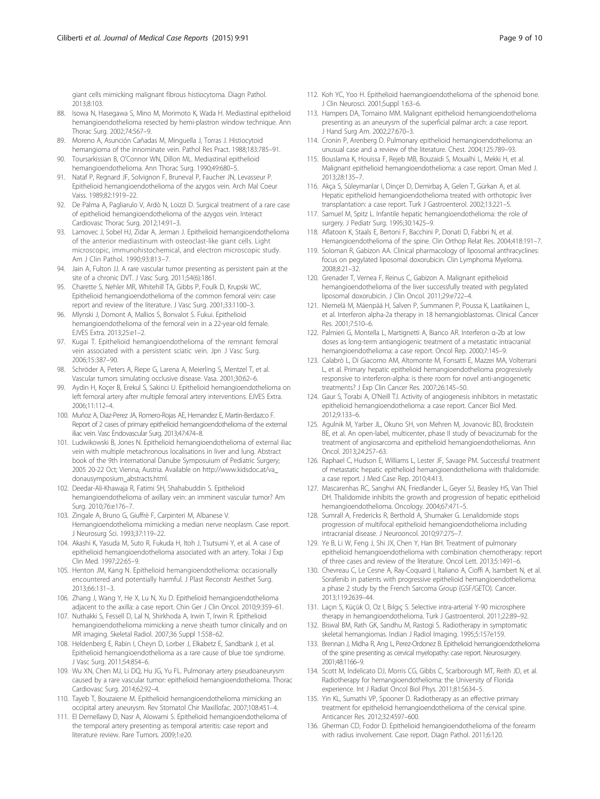<span id="page-8-0"></span>giant cells mimicking malignant fibrous histiocytoma. Diagn Pathol. 2013;8:103.

- 88. Isowa N, Hasegawa S, Mino M, Morimoto K, Wada H, Mediastinal epithelioid hemangioendothelioma resected by hemi-plastron window technique. Ann Thorac Surg. 2002;74:567–9.
- 89. Moreno A, Asunción Cañadas M, Minguella J, Torras J. Histiocytoid hemangioma of the innominate vein. Pathol Res Pract. 1988;183:785–91.
- 90. Toursarkissian B, O'Connor WN, Dillon ML. Mediastinal epithelioid hemangioendothelioma. Ann Thorac Surg. 1990;49:680–5.
- 91. Nataf P, Regnard JF, Solvignon F, Bruneval P, Faucher JN, Levasseur P. Epithelioid hemangioendothelioma of the azygos vein. Arch Mal Coeur Vaiss. 1989;82:1919–22.
- 92. De Palma A, Pagliarulo V, Ardò N, Loizzi D. Surgical treatment of a rare case of epithelioid hemangioendothelioma of the azygos vein. Interact Cardiovasc Thorac Surg. 2012;14:91–3.
- 93. Lamovec J, Sobel HJ, Zidar A, Jerman J. Epithelioid hemangioendothelioma of the anterior mediastinum with osteoclast-like giant cells. Light microscopic, immunohistochemical, and electron microscopic study. Am J Clin Pathol. 1990;93:813–7.
- 94. Jain A, Fulton JJ. A rare vascular tumor presenting as persistent pain at the site of a chronic DVT. J Vasc Surg. 2011;54(6):1861.
- 95. Charette S, Nehler MR, Whitehill TA, Gibbs P, Foulk D, Krupski WC. Epithelioid hemangioendothelioma of the common femoral vein: case report and review of the literature. J Vasc Surg. 2001;33:1100–3.
- 96. Mlynski J, Domont A, Mallios S, Bonvalot S. Fukui. Epithelioid hemangioendothelioma of the femoral vein in a 22-year-old female. EJVES Extra. 2013;25:e1–2.
- 97. Kugai T. Epithelioid hemangioendothelioma of the remnant femoral vein associated with a persistent sciatic vein. Jpn J Vasc Surg. 2006;15:387–90.
- 98. Schröder A, Peters A, Riepe G, Larena A, Meierling S, Mentzel T, et al. Vascular tumors simulating occlusive disease. Vasa. 2001;30:62–6.
- 99. Aydin H, Koçer B, Erekul S, Sakinci U. Epithelioid hemangioendothelioma on left femoral artery after multiple femoral artery interventions. EJVES Extra. 2006;11:112–4.
- 100. Muñoz A, Diaz-Perez JA, Romero-Rojas AE, Hernandez E, Martin-Berdazco F. Report of 2 cases of primary epithelioid hemangioendothelioma of the external iliac vein. Vasc Endovascular Surg. 2013;47:474–8.
- 101. Ludwikowski B, Jones N. Epithelioid hemangioendothelioma of external iliac vein with multiple metachronous localisations in liver and lung. Abstract book of the 9th International Danube Symposuium of Pediatric Surgery; 2005 20-22 Oct; Vienna, Austria. Available on [http://www.kidsdoc.at/va\\_](http://www.kidsdoc.at/va_donausymposium_abstracts.html) [donausymposium\\_abstracts.html.](http://www.kidsdoc.at/va_donausymposium_abstracts.html)
- 102. Deedar-Ali-Khawaja R, Fatimi SH, Shahabuddin S. Epithelioid hemangioendothelioma of axillary vein: an imminent vascular tumor? Am Surg. 2010;76:e176–7.
- 103. Zingale A, Bruno G, Giuffrè F, Carpinteri M, Albanese V. Hemangioendothelioma mimicking a median nerve neoplasm. Case report. J Neurosurg Sci. 1993;37:119–22.
- 104. Akashi K, Yasuda M, Suto R, Fukuda H, Itoh J, Tsutsumi Y, et al. A case of epithelioid hemangioendothelioma associated with an artery. Tokai J Exp Clin Med. 1997;22:65–9.
- 105. Henton JM, Kang N. Epithelioid hemangioendothelioma: occasionally encountered and potentially harmful. J Plast Reconstr Aesthet Surg. 2013;66:131–3.
- 106. Zhang J, Wang Y, He X, Lu N, Xu D. Epithelioid hemangioendothelioma adjacent to the axilla: a case report. Chin Ger J Clin Oncol. 2010;9:359–61.
- 107. Nuthakki S, Fessell D, Lal N, Shirkhoda A, Irwin T, Irwin R. Epithelioid hemangioendothelioma mimicking a nerve sheath tumor clinically and on MR imaging. Skeletal Radiol. 2007;36 Suppl 1:S58–62.
- 108. Heldenberg E, Rabin I, Cheyn D, Lorber J, Elkabetz E, Sandbank J, et al. Epithelioid hemangioendothelioma as a rare cause of blue toe syndrome. J Vasc Surg. 2011;54:854–6.
- 109. Wu XN, Chen MJ, Li DQ, Hu JG, Yu FL. Pulmonary artery pseudoaneurysm caused by a rare vascular tumor: epithelioid hemangioendothelioma. Thorac Cardiovasc Surg. 2014;62:92–4.
- 110. Tayeb T, Bouzaiene M. Epithelioid hemangioendothelioma mimicking an occipital artery aneurysm. Rev Stomatol Chir Maxillofac. 2007;108:451–4.
- 111. El Demellawy D, Nasr A, Alowami S. Epithelioid hemangioendothelioma of the temporal artery presenting as temporal arteritis: case report and literature review. Rare Tumors. 2009;1:e20.
- 112. Koh YC, Yoo H. Epithelioid haemangioendothelioma of the sphenoid bone. J Clin Neurosci. 2001;Suppl 1:63–6.
- 113. Hampers DA, Tomaino MM. Malignant epithelioid hemangioendothelioma presenting as an aneurysm of the superficial palmar arch: a case report. J Hand Surg Am. 2002;27:670–3.
- 114. Cronin P, Arenberg D. Pulmonary epithelioid hemangioendothelioma: an unusual case and a review of the literature. Chest. 2004;125:789–93.
- 115. Bouslama K, Houissa F, Rejeb MB, Bouzaidi S, Moualhi L, Mekki H, et al. Malignant epithelioid hemangioendothelioma: a case report. Oman Med J. 2013;28:135–7.
- 116. Akça S, Süleymanlar I, Dinçer D, Demirbaş A, Gelen T, Gürkan A, et al. Hepatic epithelioid hemangioendothelioma treated with orthotopic liver transplantation: a case report. Turk J Gastroenterol. 2002;13:221–5.
- 117. Samuel M, Spitz L. Infantile hepatic hemangioendothelioma: the role of surgery. J Pediatr Surg. 1995;30:1425–9.
- 118. Aflatoon K, Staals E, Bertoni F, Bacchini P, Donati D, Fabbri N, et al. Hemangioendothelioma of the spine. Clin Orthop Relat Res. 2004;418:191–7.
- 119. Soloman R, Gabizon AA. Clinical pharmacology of liposomal anthracyclines: focus on pegylated liposomal doxorubicin. Clin Lymphoma Myeloma. 2008;8:21–32.
- 120. Grenader T, Vernea F, Reinus C, Gabizon A. Malignant epithelioid hemangioendothelioma of the liver successfully treated with pegylated liposomal doxorubicin. J Clin Oncol. 2011;29:e722–4.
- 121. Niemelä M, Mäenpää H, Salven P, Summanen P, Poussa K, Laatikainen L, et al. Interferon alpha-2a therapy in 18 hemangioblastomas. Clinical Cancer Res. 2001;7:510–6.
- 122. Palmieri G, Montella L, Martignetti A, Bianco AR. Interferon α-2b at low doses as long-term antiangiogenic treatment of a metastatic intracranial hemangioendothelioma: a case report. Oncol Rep. 2000;7:145–9.
- 123. Calabrò L, Di Giacomo AM, Altomonte M, Fonsatti E, Mazzei MA, Volterrani L, et al. Primary hepatic epithelioid hemangioendothelioma progressively responsive to interferon-alpha: is there room for novel anti-angiogenetic treatments? J Exp Clin Cancer Res. 2007;26:145–50.
- 124. Gaur S, Torabi A, O'Neill TJ. Activity of angiogenesis inhibitors in metastatic epithelioid hemangioendothelioma: a case report. Cancer Biol Med. 2012;9:133–6.
- 125. Agulnik M, Yarber JL, Okuno SH, von Mehren M, Jovanovic BD, Brockstein BE, et al. An open-label, multicenter, phase II study of bevacizumab for the treatment of angiosarcoma and epithelioid hemangioendotheliomas. Ann Oncol. 2013;24:257–63.
- 126. Raphael C, Hudson E, Williams L, Lester JF, Savage PM. Successful treatment of metastatic hepatic epithelioid hemangioendothelioma with thalidomide: a case report. J Med Case Rep. 2010;4:413.
- 127. Mascarenhas RC, Sanghvi AN, Friedlander L, Geyer SJ, Beasley HS, Van Thiel DH. Thalidomide inhibits the growth and progression of hepatic epithelioid hemangioendothelioma. Oncology. 2004;67:471–5.
- 128. Sumrall A, Fredericks R, Berthold A, Shumaker G. Lenalidomide stops progression of multifocal epithelioid hemangioendothelioma including intracranial disease. J Neurooncol. 2010;97:275–7.
- 129. Ye B, Li W, Feng J, Shi JX, Chen Y, Han BH. Treatment of pulmonary epithelioid hemangioendothelioma with combination chemotherapy: report of three cases and review of the literature. Oncol Lett. 2013;5:1491–6.
- 130. Chevreau C, Le Cesne A, Ray-Coquard I, Italiano A, Cioffi A, Isambert N, et al. Sorafenib in patients with progressive epithelioid hemangioendothelioma: a phase 2 study by the French Sarcoma Group (GSF/GETO). Cancer. 2013;119:2639–44.
- 131. Laçın S, Küçük O, Oz I, Bılgıç S. Selective intra-arterial Y-90 microsphere therapy in hemangioendothelioma. Turk J Gastroenterol. 2011;22:89–92.
- 132. Biswal BM, Rath GK, Sandhu M, Rastogi S. Radiotherapy in symptomatic skeletal hemangiomas. Indian J Radiol Imaging. 1995;5:157e159.
- 133. Brennan J, Midha R, Ang L, Perez-Ordonez B. Epithelioid hemangioendothelioma of the spine presenting as cervical myelopathy: case report. Neurosurgery. 2001;48:1166–9.
- 134. Scott M, Indelicato DJ, Morris CG, Gibbs C, Scarborough MT, Reith JD, et al. Radiotherapy for hemangioendothelioma: the University of Florida experience. Int J Radiat Oncol Biol Phys. 2011;81:S634–5.
- 135. Yin KL, Sumathi VP, Spooner D. Radiotherapy as an effective primary treatment for epithelioid hemangioendothelioma of the cervical spine. Anticancer Res. 2012;32:4597–600.
- 136. Gherman CD, Fodor D. Epithelioid hemangioendothelioma of the forearm with radius involvement. Case report. Diagn Pathol. 2011;6:120.